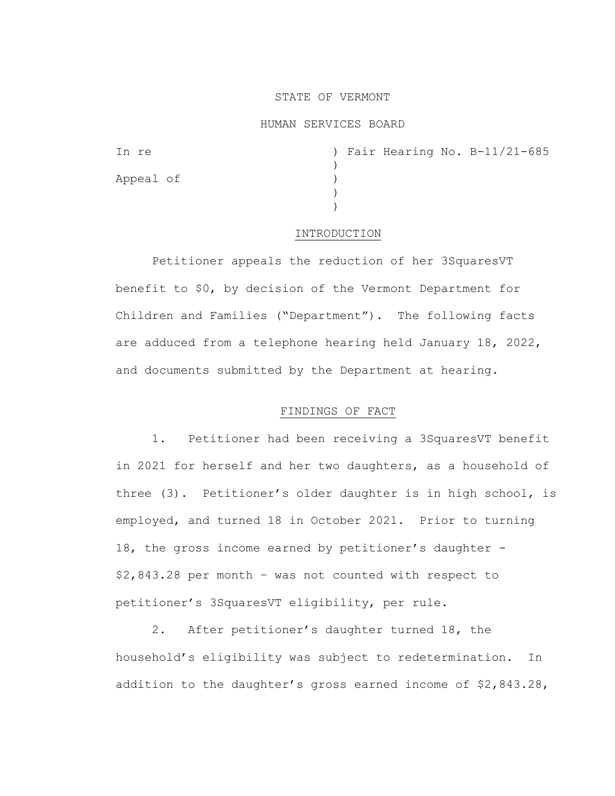### STATE OF VERMONT

### HUMAN SERVICES BOARD

| In re     |  |  | ) Fair Hearing No. B-11/21-685 |
|-----------|--|--|--------------------------------|
|           |  |  |                                |
| Appeal of |  |  |                                |
|           |  |  |                                |
|           |  |  |                                |

#### INTRODUCTION

Petitioner appeals the reduction of her 3SquaresVT benefit to \$0, by decision of the Vermont Department for Children and Families ("Department"). The following facts are adduced from a telephone hearing held January 18, 2022, and documents submitted by the Department at hearing.

### FINDINGS OF FACT

1. Petitioner had been receiving a 3SquaresVT benefit in 2021 for herself and her two daughters, as a household of three (3). Petitioner's older daughter is in high school, is employed, and turned 18 in October 2021. Prior to turning 18, the gross income earned by petitioner's daughter - \$2,843.28 per month – was not counted with respect to petitioner's 3SquaresVT eligibility, per rule.

2. After petitioner's daughter turned 18, the household's eligibility was subject to redetermination. In addition to the daughter's gross earned income of \$2,843.28,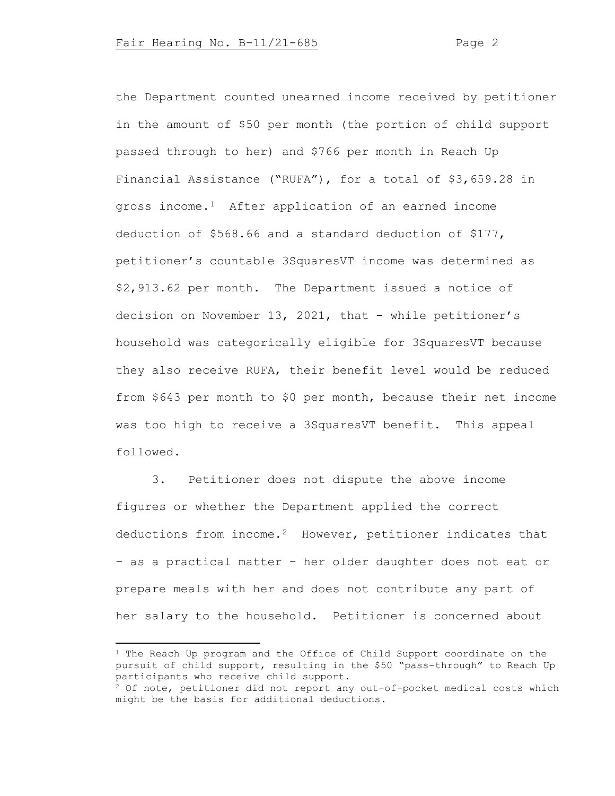the Department counted unearned income received by petitioner in the amount of \$50 per month (the portion of child support passed through to her) and \$766 per month in Reach Up Financial Assistance ("RUFA"), for a total of \$3,659.28 in gross income.[1](#page-1-0) After application of an earned income deduction of \$568.66 and a standard deduction of \$177, petitioner's countable 3SquaresVT income was determined as \$2,913.62 per month. The Department issued a notice of decision on November 13, 2021, that – while petitioner's household was categorically eligible for 3SquaresVT because they also receive RUFA, their benefit level would be reduced from \$643 per month to \$0 per month, because their net income was too high to receive a 3SquaresVT benefit. This appeal followed.

3. Petitioner does not dispute the above income figures or whether the Department applied the correct deductions from income.[2](#page-1-1) However, petitioner indicates that – as a practical matter – her older daughter does not eat or prepare meals with her and does not contribute any part of her salary to the household. Petitioner is concerned about

<span id="page-1-0"></span> $1$  The Reach Up program and the Office of Child Support coordinate on the pursuit of child support, resulting in the \$50 "pass-through" to Reach Up participants who receive child support.

<span id="page-1-1"></span> $2$  Of note, petitioner did not report any out-of-pocket medical costs which might be the basis for additional deductions.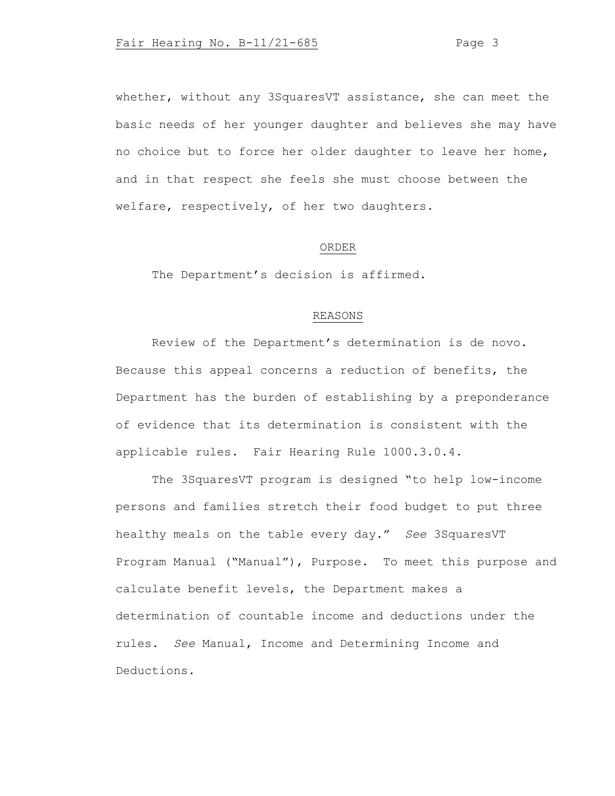whether, without any 3SquaresVT assistance, she can meet the basic needs of her younger daughter and believes she may have no choice but to force her older daughter to leave her home, and in that respect she feels she must choose between the welfare, respectively, of her two daughters.

# ORDER

The Department's decision is affirmed.

# REASONS

Review of the Department's determination is de novo. Because this appeal concerns a reduction of benefits, the Department has the burden of establishing by a preponderance of evidence that its determination is consistent with the applicable rules. Fair Hearing Rule 1000.3.0.4.

The 3SquaresVT program is designed "to help low-income persons and families stretch their food budget to put three healthy meals on the table every day." *See* 3SquaresVT Program Manual ("Manual"), Purpose. To meet this purpose and calculate benefit levels, the Department makes a determination of countable income and deductions under the rules. *See* Manual, Income and Determining Income and Deductions.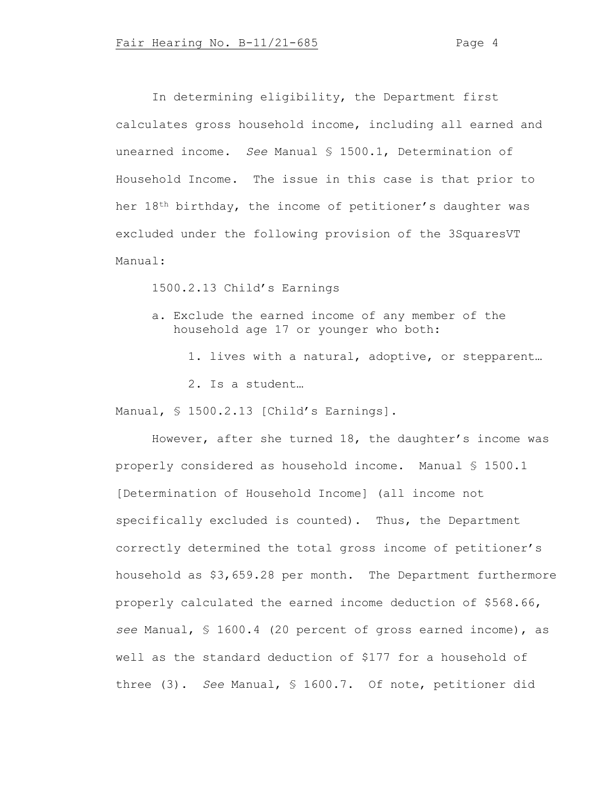In determining eligibility, the Department first calculates gross household income, including all earned and unearned income. *See* Manual § 1500.1, Determination of Household Income. The issue in this case is that prior to her 18th birthday, the income of petitioner's daughter was excluded under the following provision of the 3SquaresVT Manual:

1500.2.13 Child's Earnings

- a. Exclude the earned income of any member of the household age 17 or younger who both:
	- 1. lives with a natural, adoptive, or stepparent… 2. Is a student…

Manual, § 1500.2.13 [Child's Earnings].

However, after she turned 18, the daughter's income was properly considered as household income. Manual § 1500.1 [Determination of Household Income] (all income not specifically excluded is counted). Thus, the Department correctly determined the total gross income of petitioner's household as \$3,659.28 per month. The Department furthermore properly calculated the earned income deduction of \$568.66, *see* Manual, § 1600.4 (20 percent of gross earned income), as well as the standard deduction of \$177 for a household of three (3). *See* Manual, § 1600.7. Of note, petitioner did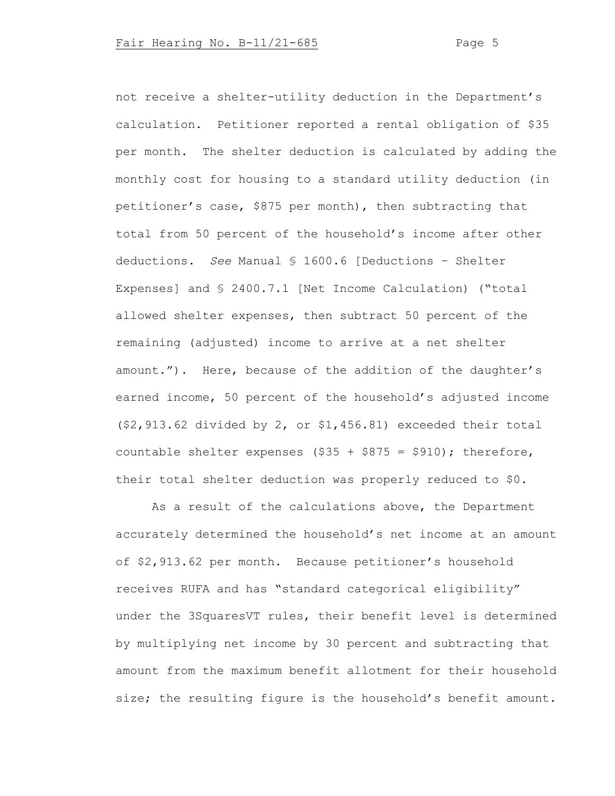not receive a shelter-utility deduction in the Department's calculation. Petitioner reported a rental obligation of \$35 per month. The shelter deduction is calculated by adding the monthly cost for housing to a standard utility deduction (in petitioner's case, \$875 per month), then subtracting that total from 50 percent of the household's income after other deductions. *See* Manual § 1600.6 [Deductions – Shelter Expenses] and § 2400.7.1 [Net Income Calculation) ("total allowed shelter expenses, then subtract 50 percent of the remaining (adjusted) income to arrive at a net shelter amount."). Here, because of the addition of the daughter's earned income, 50 percent of the household's adjusted income (\$2,913.62 divided by 2, or \$1,456.81) exceeded their total countable shelter expenses  $(\$35 + \$875 = \$910)$ ; therefore, their total shelter deduction was properly reduced to \$0.

As a result of the calculations above, the Department accurately determined the household's net income at an amount of \$2,913.62 per month. Because petitioner's household receives RUFA and has "standard categorical eligibility" under the 3SquaresVT rules, their benefit level is determined by multiplying net income by 30 percent and subtracting that amount from the maximum benefit allotment for their household size; the resulting figure is the household's benefit amount.